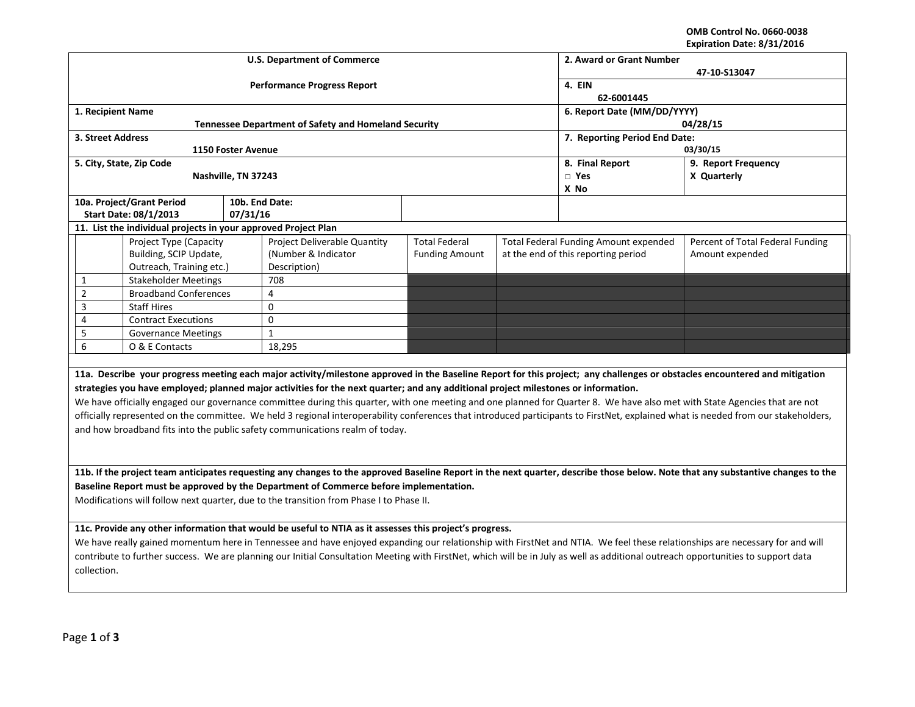**OMB Control No. 0660-0038 Expiration Date: 8/31/2016**

|                                                                                         |                                                                                                         |                     | <b>U.S. Department of Commerce</b>                                                                                                                                                | 2. Award or Grant Number    |                     |                                              |                                                                                                                                                                                    |  |  |  |
|-----------------------------------------------------------------------------------------|---------------------------------------------------------------------------------------------------------|---------------------|-----------------------------------------------------------------------------------------------------------------------------------------------------------------------------------|-----------------------------|---------------------|----------------------------------------------|------------------------------------------------------------------------------------------------------------------------------------------------------------------------------------|--|--|--|
|                                                                                         |                                                                                                         |                     |                                                                                                                                                                                   | 47-10-S13047                |                     |                                              |                                                                                                                                                                                    |  |  |  |
|                                                                                         |                                                                                                         |                     | <b>Performance Progress Report</b>                                                                                                                                                | 4. EIN<br>62-6001445        |                     |                                              |                                                                                                                                                                                    |  |  |  |
| 1. Recipient Name                                                                       |                                                                                                         |                     |                                                                                                                                                                                   | 6. Report Date (MM/DD/YYYY) |                     |                                              |                                                                                                                                                                                    |  |  |  |
|                                                                                         |                                                                                                         |                     | <b>Tennessee Department of Safety and Homeland Security</b>                                                                                                                       | 04/28/15                    |                     |                                              |                                                                                                                                                                                    |  |  |  |
| 3. Street Address                                                                       |                                                                                                         |                     |                                                                                                                                                                                   |                             |                     | 7. Reporting Period End Date:                |                                                                                                                                                                                    |  |  |  |
|                                                                                         |                                                                                                         | 1150 Foster Avenue  |                                                                                                                                                                                   |                             |                     | 03/30/15                                     |                                                                                                                                                                                    |  |  |  |
|                                                                                         | 5. City, State, Zip Code                                                                                |                     |                                                                                                                                                                                   | 8. Final Report             | 9. Report Frequency |                                              |                                                                                                                                                                                    |  |  |  |
|                                                                                         |                                                                                                         | Nashville, TN 37243 |                                                                                                                                                                                   |                             | $\square$ Yes       | X Quarterly                                  |                                                                                                                                                                                    |  |  |  |
|                                                                                         |                                                                                                         |                     |                                                                                                                                                                                   |                             |                     | X No                                         |                                                                                                                                                                                    |  |  |  |
|                                                                                         | 10a. Project/Grant Period                                                                               |                     | 10b. End Date:                                                                                                                                                                    |                             |                     |                                              |                                                                                                                                                                                    |  |  |  |
|                                                                                         | <b>Start Date: 08/1/2013</b><br>11. List the individual projects in your approved Project Plan          | 07/31/16            |                                                                                                                                                                                   |                             |                     |                                              |                                                                                                                                                                                    |  |  |  |
|                                                                                         | Project Type (Capacity                                                                                  |                     | Project Deliverable Quantity                                                                                                                                                      | <b>Total Federal</b>        |                     | <b>Total Federal Funding Amount expended</b> | Percent of Total Federal Funding                                                                                                                                                   |  |  |  |
|                                                                                         | Building, SCIP Update,                                                                                  |                     | (Number & Indicator                                                                                                                                                               | <b>Funding Amount</b>       |                     | at the end of this reporting period          | Amount expended                                                                                                                                                                    |  |  |  |
|                                                                                         | Outreach, Training etc.)                                                                                |                     | Description)                                                                                                                                                                      |                             |                     |                                              |                                                                                                                                                                                    |  |  |  |
| $\mathbf{1}$                                                                            | <b>Stakeholder Meetings</b>                                                                             |                     | 708                                                                                                                                                                               |                             |                     |                                              |                                                                                                                                                                                    |  |  |  |
| $\overline{2}$                                                                          | <b>Broadband Conferences</b>                                                                            |                     | 4                                                                                                                                                                                 |                             |                     |                                              |                                                                                                                                                                                    |  |  |  |
| 3                                                                                       | <b>Staff Hires</b>                                                                                      |                     | $\pmb{0}$                                                                                                                                                                         |                             |                     |                                              |                                                                                                                                                                                    |  |  |  |
| 4                                                                                       | <b>Contract Executions</b>                                                                              |                     | $\Omega$                                                                                                                                                                          |                             |                     |                                              |                                                                                                                                                                                    |  |  |  |
| 5                                                                                       | <b>Governance Meetings</b>                                                                              |                     | $\mathbf{1}$                                                                                                                                                                      |                             |                     |                                              |                                                                                                                                                                                    |  |  |  |
| 6<br>O & E Contacts                                                                     |                                                                                                         |                     | 18,295                                                                                                                                                                            |                             |                     |                                              |                                                                                                                                                                                    |  |  |  |
|                                                                                         |                                                                                                         |                     |                                                                                                                                                                                   |                             |                     |                                              |                                                                                                                                                                                    |  |  |  |
|                                                                                         |                                                                                                         |                     |                                                                                                                                                                                   |                             |                     |                                              | 11a. Describe your progress meeting each major activity/milestone approved in the Baseline Report for this project; any challenges or obstacles encountered and mitigation         |  |  |  |
|                                                                                         |                                                                                                         |                     | strategies you have employed; planned major activities for the next quarter; and any additional project milestones or information.                                                |                             |                     |                                              |                                                                                                                                                                                    |  |  |  |
|                                                                                         |                                                                                                         |                     | We have officially engaged our governance committee during this quarter, with one meeting and one planned for Quarter 8. We have also met with State Agencies that are not        |                             |                     |                                              |                                                                                                                                                                                    |  |  |  |
|                                                                                         |                                                                                                         |                     |                                                                                                                                                                                   |                             |                     |                                              | officially represented on the committee. We held 3 regional interoperability conferences that introduced participants to FirstNet, explained what is needed from our stakeholders, |  |  |  |
|                                                                                         |                                                                                                         |                     | and how broadband fits into the public safety communications realm of today.                                                                                                      |                             |                     |                                              |                                                                                                                                                                                    |  |  |  |
|                                                                                         |                                                                                                         |                     |                                                                                                                                                                                   |                             |                     |                                              |                                                                                                                                                                                    |  |  |  |
|                                                                                         |                                                                                                         |                     |                                                                                                                                                                                   |                             |                     |                                              |                                                                                                                                                                                    |  |  |  |
|                                                                                         |                                                                                                         |                     |                                                                                                                                                                                   |                             |                     |                                              | 11b. If the project team anticipates requesting any changes to the approved Baseline Report in the next quarter, describe those below. Note that any substantive changes to the    |  |  |  |
|                                                                                         |                                                                                                         |                     | Baseline Report must be approved by the Department of Commerce before implementation.                                                                                             |                             |                     |                                              |                                                                                                                                                                                    |  |  |  |
| Modifications will follow next quarter, due to the transition from Phase I to Phase II. |                                                                                                         |                     |                                                                                                                                                                                   |                             |                     |                                              |                                                                                                                                                                                    |  |  |  |
|                                                                                         | 11c. Provide any other information that would be useful to NTIA as it assesses this project's progress. |                     |                                                                                                                                                                                   |                             |                     |                                              |                                                                                                                                                                                    |  |  |  |
|                                                                                         |                                                                                                         |                     |                                                                                                                                                                                   |                             |                     |                                              | We have really gained momentum here in Tennessee and have enjoyed expanding our relationship with FirstNet and NTIA. We feel these relationships are necessary for and will        |  |  |  |
|                                                                                         |                                                                                                         |                     | contribute to further success. We are planning our Initial Consultation Meeting with FirstNet, which will be in July as well as additional outreach opportunities to support data |                             |                     |                                              |                                                                                                                                                                                    |  |  |  |
|                                                                                         |                                                                                                         |                     |                                                                                                                                                                                   |                             |                     |                                              |                                                                                                                                                                                    |  |  |  |
| collection.                                                                             |                                                                                                         |                     |                                                                                                                                                                                   |                             |                     |                                              |                                                                                                                                                                                    |  |  |  |
|                                                                                         |                                                                                                         |                     |                                                                                                                                                                                   |                             |                     |                                              |                                                                                                                                                                                    |  |  |  |
|                                                                                         |                                                                                                         |                     |                                                                                                                                                                                   |                             |                     |                                              |                                                                                                                                                                                    |  |  |  |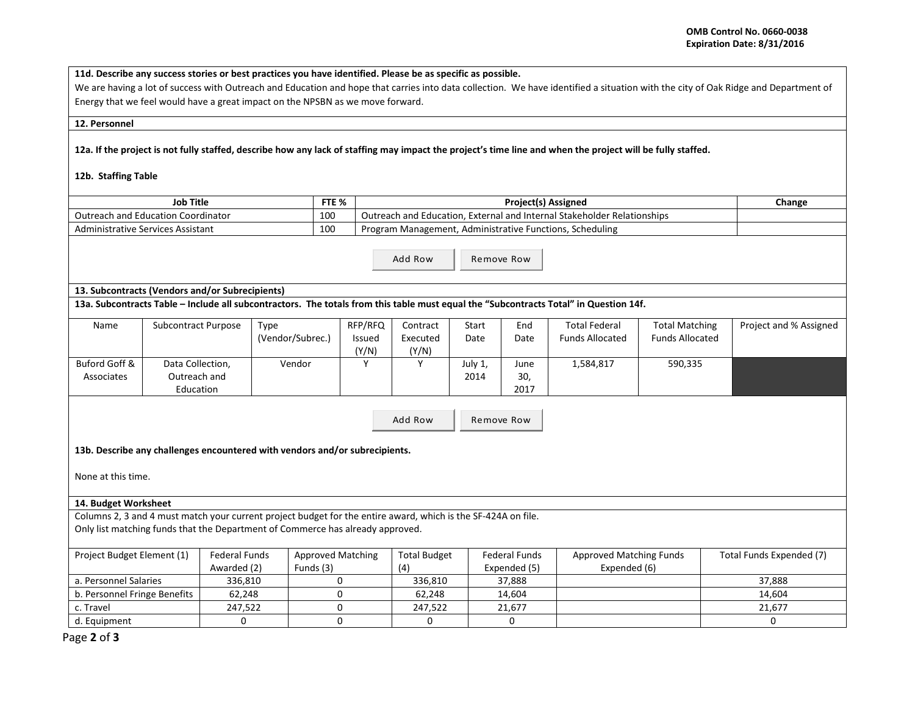**11d. Describe any success stories or best practices you have identified. Please be as specific as possible.**

We are having a lot of success with Outreach and Education and hope that carries into data collection. We have identified a situation with the city of Oak Ridge and Department of Energy that we feel would have a great impact on the NPSBN as we move forward.

## **12. Personnel**

**12a. If the project is not fully staffed, describe how any lack of staffing may impact the project's time line and when the project will be fully staffed.** 

## **12b. Staffing Table**

| <b>Job Title</b>                   | FTE % | <b>Project(s) Assigned</b>                                                    | Change |
|------------------------------------|-------|-------------------------------------------------------------------------------|--------|
| Outreach and Education Coordinator | 100   | า. External and Internal Stakeholder Relationships<br>Outreach and Education. |        |
| Administrative Services Assistant  | 100   | , Administrative Functions, Scheduling<br>Program Management.                 |        |

Add Row Remove Row

## **13. Subcontracts (Vendors and/or Subrecipients)**

**13a. Subcontracts Table – Include all subcontractors. The totals from this table must equal the "Subcontracts Total" in Question 14f.**

| Name          | Subcontract Purpose | Type             | RFP/RFQ       | Contract | Start   | End  | <b>Total Federal</b>   | <b>Total Matching</b>  | Project and % Assigned |
|---------------|---------------------|------------------|---------------|----------|---------|------|------------------------|------------------------|------------------------|
|               |                     | (Vendor/Subrec.) | <b>Issued</b> | Executed | Date    | Date | <b>Funds Allocated</b> | <b>Funds Allocated</b> |                        |
|               |                     |                  | (Y/N)         | (Y/N)    |         |      |                        |                        |                        |
| Buford Goff & | Data Collection,    | Vendor           |               |          | July 1, | June | 1,584,817              | 590,335                |                        |
| Associates    | Outreach and        |                  |               |          | 2014    | 30,  |                        |                        |                        |
|               | Education           |                  |               |          |         | 2017 |                        |                        |                        |

Add Row | Remove Row

**13b. Describe any challenges encountered with vendors and/or subrecipients.** 

None at this time.

## **14. Budget Worksheet**

Columns 2, 3 and 4 must match your current project budget for the entire award, which is the SF-424A on file. Only list matching funds that the Department of Commerce has already approved.

| Project Budget Element (1)   | Federal Funds | <b>Approved Matching</b> | <b>Total Budget</b> | Federal Funds | <b>Approved Matching Funds</b> | Total Funds Expended (7) |
|------------------------------|---------------|--------------------------|---------------------|---------------|--------------------------------|--------------------------|
|                              | Awarded (2)   | Funds (3)                | (4)                 | Expended (5)  | Expended (6)                   |                          |
| a. Personnel Salaries        | 336.810       |                          | 336.810             | 37.888        |                                | 37.888                   |
| b. Personnel Fringe Benefits | 62.248        |                          | 62.248              | 14.604        |                                | 14.604                   |
| c. Travel                    | 247.522       |                          | 247.522             | 21,677        |                                | 21,677                   |
| d. Equipment                 |               |                          |                     |               |                                |                          |